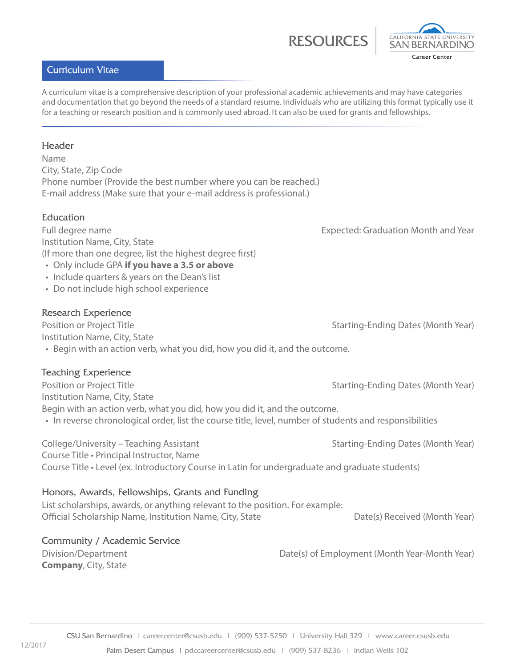



## Curriculum Vitae

A curriculum vitae is a comprehensive description of your professional academic achievements and may have categories and documentation that go beyond the needs of a standard resume. Individuals who are utilizing this format typically use it for a teaching or research position and is commonly used abroad. It can also be used for grants and fellowships.

### **Header**

Name City, State, Zip Code Phone number (Provide the best number where you can be reached.) E-mail address (Make sure that your e-mail address is professional.)

### Education

Full degree name Expected: Graduation Month and Year Institution Name, City, State (If more than one degree, list the highest degree first)

- Only include GPA **if you have a 3.5 or above**
- Include quarters & years on the Dean's list
- Do not include high school experience

## Research Experience

Institution Name, City, State

• Begin with an action verb, what you did, how you did it, and the outcome.

### Teaching Experience

Position or Project Title **Starting-Ending Dates (Month Year)** Starting-Ending Dates (Month Year) Institution Name, City, State Begin with an action verb, what you did, how you did it, and the outcome. • In reverse chronological order, list the course title, level, number of students and responsibilities

College/University – Teaching Assistant Starting-Ending-Ending Dates (Month Year) Course Title • Principal Instructor, Name Course Title • Level (ex. Introductory Course in Latin for undergraduate and graduate students)

### Honors, Awards, Fellowships, Grants and Funding

List scholarships, awards, or anything relevant to the position. For example: Official Scholarship Name, Institution Name, City, State Date Date(s) Received (Month Year)

# Community / Academic Service

**Company**, City, State

Division/Department Date(s) of Employment (Month Year-Month Year)

Position or Project Title Starting-Ending Dates (Month Year)

CSU San Bernardino | careercenter@csusb.edu | (909) 537-5250 | University Hall 329 | www.career.csusb.edu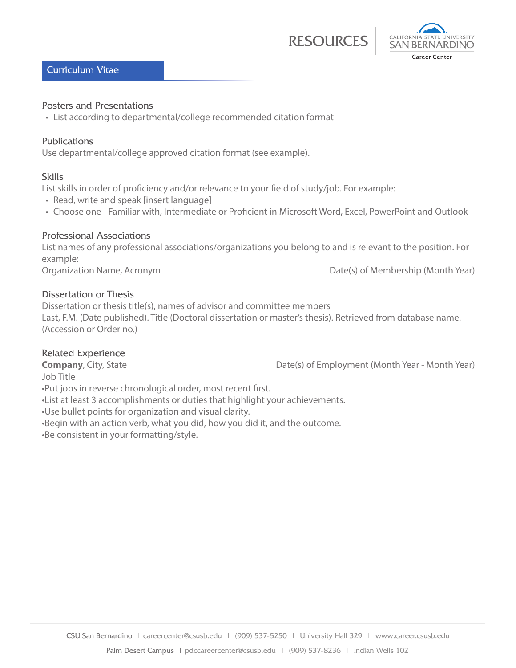**RESOURCE** 



### Curriculum Vitae

#### Posters and Presentations

• List according to departmental/college recommended citation format

#### **Publications**

Use departmental/college approved citation format (see example).

#### **Skills**

List skills in order of proficiency and/or relevance to your field of study/job. For example:

- Read, write and speak [insert language]
- Choose one Familiar with, Intermediate or Proficient in Microsoft Word, Excel, PowerPoint and Outlook

#### Professional Associations

List names of any professional associations/organizations you belong to and is relevant to the position. For example: Organization Name, Acronym Date(s) of Membership (Month Year)

### Dissertation or Thesis

Dissertation or thesis title(s), names of advisor and committee members Last, F.M. (Date published). Title (Doctoral dissertation or master's thesis). Retrieved from database name. (Accession or Order no.)

### Related Experience

**Company**, City, State **Company**, City, State **Date(s)** of Employment (Month Year - Month Year) Job Title •Put jobs in reverse chronological order, most recent first. •List at least 3 accomplishments or duties that highlight your achievements. •Use bullet points for organization and visual clarity.

•Begin with an action verb, what you did, how you did it, and the outcome.

•Be consistent in your formatting/style.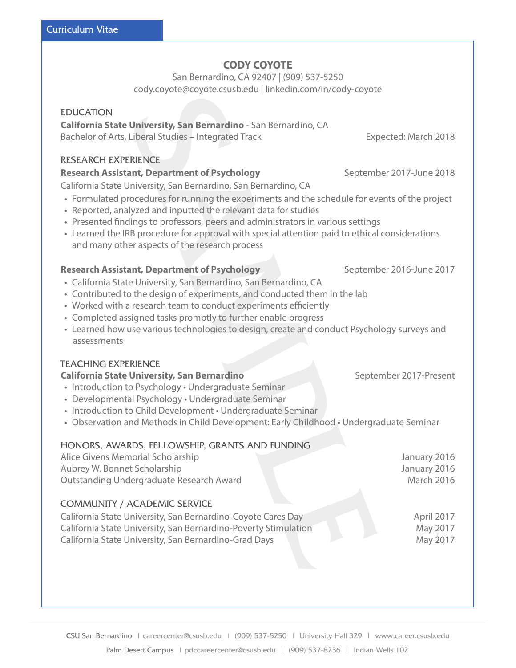# **CODY COYOTE**

San Bernardino, CA 92407 | (909) 537-5250 cody.coyote@coyote.csusb.edu | linkedin.com/in/cody-coyote

### EDUCATION

## **California State University, San Bernardino** - San Bernardino, CA

### RESEARCH EXPERIENCE

### **Research Assistant, Department of Psychology** September 2017-June 2018

- Formulated procedures for running the experiments and the schedule for events of the project
- Reported, analyzed and inputted the relevant data for studies
- Presented findings to professors, peers and administrators in various settings
- Learned the IRB procedure for approval with special attention paid to ethical considerations and many other aspects of the research process

### **Research Assistant, Department of Psychology** September 2016-June 2017

- California State University, San Bernardino, San Bernardino, CA
- Contributed to the design of experiments, and conducted them in the lab
- Worked with a research team to conduct experiments efficiently
- Completed assigned tasks promptly to further enable progress
- Learned how use various technologies to design, create and conduct Psychology surveys and assessments

## TEACHING EXPERIENCE

### **California State University, San Bernardino** September 2017-Present

- Introduction to Psychology Undergraduate Seminar
- Developmental Psychology Undergraduate Seminar
- Introduction to Child Development Undergraduate Seminar
- Observation and Methods in Child Development: Early Childhood Undergraduate Seminar

## HONORS, AWARDS, FELLOWSHIP, GRANTS AND FUNDING

| o joto so joto.com can princem novi in post                                                                                                                                                                                                                                                                                                                                                                                                               |                                            |
|-----------------------------------------------------------------------------------------------------------------------------------------------------------------------------------------------------------------------------------------------------------------------------------------------------------------------------------------------------------------------------------------------------------------------------------------------------------|--------------------------------------------|
| <b>EDUCATION</b><br>California State University, San Bernardino - San Bernardino, CA<br>Bachelor of Arts, Liberal Studies - Integrated Track                                                                                                                                                                                                                                                                                                              | Expected: March 2018                       |
| <b>RESEARCH EXPERIENCE</b><br><b>Research Assistant, Department of Psychology</b><br>California State University, San Bernardino, San Bernardino, CA                                                                                                                                                                                                                                                                                                      | September 2017-June 2018                   |
| • Formulated procedures for running the experiments and the schedule for events of the project<br>• Reported, analyzed and inputted the relevant data for studies<br>• Presented findings to professors, peers and administrators in various settings<br>• Learned the IRB procedure for approval with special attention paid to ethical considerations<br>and many other aspects of the research process                                                 |                                            |
| <b>Research Assistant, Department of Psychology</b><br>· California State University, San Bernardino, San Bernardino, CA<br>• Contributed to the design of experiments, and conducted them in the lab<br>• Worked with a research team to conduct experiments efficiently<br>• Completed assigned tasks promptly to further enable progress<br>• Learned how use various technologies to design, create and conduct Psychology surveys and<br>assessments | September 2016-June 2017                   |
| <b>TEACHING EXPERIENCE</b><br><b>California State University, San Bernardino</b><br>• Introduction to Psychology • Undergraduate Seminar<br>• Developmental Psychology · Undergraduate Seminar<br>• Introduction to Child Development • Undergraduate Seminar<br>• Observation and Methods in Child Development: Early Childhood • Undergraduate Seminar                                                                                                  | September 2017-Present                     |
| HONORS, AWARDS, FELLOWSHIP, GRANTS AND FUNDING<br>Alice Givens Memorial Scholarship<br>Aubrey W. Bonnet Scholarship<br>Outstanding Undergraduate Research Award                                                                                                                                                                                                                                                                                           | January 2016<br>January 2016<br>March 2016 |
| <b>COMMUNITY / ACADEMIC SERVICE</b><br>California State University, San Bernardino-Coyote Cares Day<br>California State University, San Bernardino-Poverty Stimulation<br>California State University, San Bernardino-Grad Days                                                                                                                                                                                                                           | April 2017<br>May 2017<br>May 2017         |